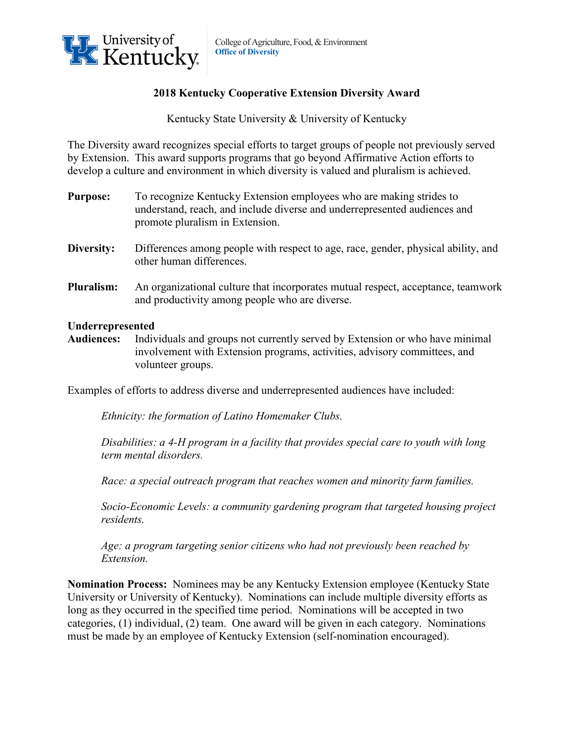

## **2018 Kentucky Cooperative Extension Diversity Award**

Kentucky State University & University of Kentucky

The Diversity award recognizes special efforts to target groups of people not previously served by Extension. This award supports programs that go beyond Affirmative Action efforts to develop a culture and environment in which diversity is valued and pluralism is achieved.

- **Purpose:** To recognize Kentucky Extension employees who are making strides to understand, reach, and include diverse and underrepresented audiences and promote pluralism in Extension.
- **Diversity:** Differences among people with respect to age, race, gender, physical ability, and other human differences.
- **Pluralism:** An organizational culture that incorporates mutual respect, acceptance, teamwork and productivity among people who are diverse.

## **Underrepresented**

**Audiences:** Individuals and groups not currently served by Extension or who have minimal involvement with Extension programs, activities, advisory committees, and volunteer groups.

Examples of efforts to address diverse and underrepresented audiences have included:

*Ethnicity: the formation of Latino Homemaker Clubs.*

*Disabilities: a 4-H program in a facility that provides special care to youth with long term mental disorders.*

*Race: a special outreach program that reaches women and minority farm families.*

*Socio-Economic Levels: a community gardening program that targeted housing project residents.*

*Age: a program targeting senior citizens who had not previously been reached by Extension.*

**Nomination Process:** Nominees may be any Kentucky Extension employee (Kentucky State University or University of Kentucky). Nominations can include multiple diversity efforts as long as they occurred in the specified time period. Nominations will be accepted in two categories, (1) individual, (2) team. One award will be given in each category. Nominations must be made by an employee of Kentucky Extension (self-nomination encouraged).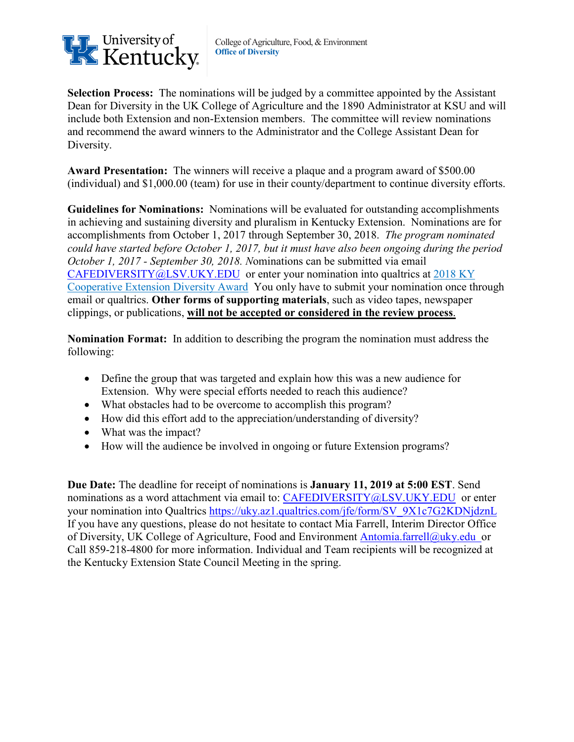

**Selection Process:** The nominations will be judged by a committee appointed by the Assistant Dean for Diversity in the UK College of Agriculture and the 1890 Administrator at KSU and will include both Extension and non-Extension members. The committee will review nominations and recommend the award winners to the Administrator and the College Assistant Dean for Diversity.

**Award Presentation:** The winners will receive a plaque and a program award of \$500.00 (individual) and \$1,000.00 (team) for use in their county/department to continue diversity efforts.

**Guidelines for Nominations:** Nominations will be evaluated for outstanding accomplishments in achieving and sustaining diversity and pluralism in Kentucky Extension. Nominations are for accomplishments from October 1, 2017 through September 30, 2018. *The program nominated could have started before October 1, 2017, but it must have also been ongoing during the period October 1, 2017 - September 30, 2018. N*ominations can be submitted via email [CAFEDIVERSITY@LSV.UKY.EDU](mailto:CAFEDIVERSITY@LSV.UKY.EDU) or enter your nomination into qualtrics at [2018 KY](https://uky.az1.qualtrics.com/jfe/form/SV_9X1c7G2KDNjdznL)  [Cooperative Extension Diversity Award](https://uky.az1.qualtrics.com/jfe/form/SV_9X1c7G2KDNjdznL) You only have to submit your nomination once through email or qualtrics. **Other forms of supporting materials**, such as video tapes, newspaper clippings, or publications, **will not be accepted or considered in the review process**.

**Nomination Format:** In addition to describing the program the nomination must address the following:

- Define the group that was targeted and explain how this was a new audience for Extension. Why were special efforts needed to reach this audience?
- What obstacles had to be overcome to accomplish this program?
- How did this effort add to the appreciation/understanding of diversity?
- What was the impact?
- How will the audience be involved in ongoing or future Extension programs?

**Due Date:** The deadline for receipt of nominations is **January 11, 2019 at 5:00 EST**. Send nominations as a word attachment via email to: [CAFEDIVERSITY@LSV.UKY.EDU](mailto:CAFEDIVERSITY@LSV.UKY.EDU) or enter your nomination into Qualtrics [https://uky.az1.qualtrics.com/jfe/form/SV\\_9X1c7G2KDNjdznL](https://uky.az1.qualtrics.com/jfe/form/SV_9X1c7G2KDNjdznL) If you have any questions, please do not hesitate to contact Mia Farrell, Interim Director Office of Diversity, UK College of Agriculture, Food and Environment [Antomia.farrell@uky.edu](mailto:Antomia.farrell@uky.edu) or Call 859-218-4800 for more information. Individual and Team recipients will be recognized at the Kentucky Extension State Council Meeting in the spring.